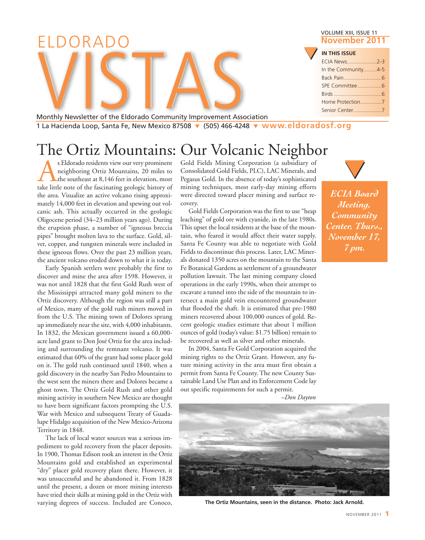|                                                                                                      | <b>VOLUME XIII, ISSUE 11</b> |  |  |  |  |
|------------------------------------------------------------------------------------------------------|------------------------------|--|--|--|--|
| ELDORADO                                                                                             | November 2011                |  |  |  |  |
|                                                                                                      | <b>IN THIS ISSUE</b>         |  |  |  |  |
|                                                                                                      | In the Community4-5          |  |  |  |  |
|                                                                                                      |                              |  |  |  |  |
|                                                                                                      |                              |  |  |  |  |
|                                                                                                      |                              |  |  |  |  |
| Monthly Newsletter of the Eldorado Community Improvement Association                                 |                              |  |  |  |  |
| $11a$ Hacienda Loop Santa Fe, New Mexico 87508 $\bullet$ (505) 466-4248 $\bullet$ WWW eldoradosf org |                              |  |  |  |  |

1 La Hacienda Loop, Santa Fe, New Mexico 87508 **▼** (505) 466-4248 **▼ [www.eldoradosf.org](http://www.eldoradosf.org)**

# The Ortiz Mountains: Our Volcanic Neighbor

S Eldorado residents view our very prominent<br>neighboring Ortiz Mountains, 20 miles to<br>the southeast at 8,146 feet in elevation, most<br>take little note of the fascinating geologic history of neighboring Ortiz Mountains, 20 miles to the southeast at 8,146 feet in elevation, most take little note of the fascinating geologic history of the area. Visualize an active volcano rising approximately 14,000 feet in elevation and spewing out volcanic ash. This actually occurred in the geologic Oligocene period (34–23 million years ago). During the eruption phase, a number of "igneous breccia pipes" brought molten lava to the surface. Gold, silver, copper, and tungsten minerals were included in these igneous flows. Over the past 23 million years, the ancient volcano eroded down to what it is today.

Early Spanish settlers were probably the first to discover and mine the area after 1598. However, it was not until 1828 that the first Gold Rush west of the Mississippi attracted many gold miners to the Ortiz discovery. Although the region was still a part of Mexico, many of the gold rush miners moved in from the U.S. The mining town of Dolores sprung up immediately near the site, with 4,000 inhabitants. In 1832, the Mexican government issued a 60,000 acre land grant to Don José Ortiz for the area including and surrounding the remnant volcano. It was estimated that 60% of the grant had some placer gold on it. The gold rush continued until 1840, when a gold discovery in the nearby San Pedro Mountains to the west sent the miners there and Dolores became a ghost town. The Ortiz Gold Rush and other gold mining activity in southern New Mexico are thought to have been significant factors prompting the U.S. War with Mexico and subsequent Treaty of Guadalupe Hidalgo acquisition of the New Mexico-Arizona Territory in 1848.

The lack of local water sources was a serious impediment to gold recovery from the placer deposits. In 1900, Thomas Edison took an interest in the Ortiz Mountains gold and established an experimental "dry" placer gold recovery plant there. However, it was unsuccessful and he abandoned it. From 1828 until the present, a dozen or more mining interests have tried their skills at mining gold in the Ortiz with varying degrees of success. Included are Conoco,

Gold Fields Mining Corporation (a subsidiary of Consolidated Gold Fields, PLC), LAC Minerals, and Pegasus Gold. In the absence of today's sophisticated mining techniques, most early-day mining efforts were directed toward placer mining and surface recovery.

Gold Fields Corporation was the first to use "heap leaching" of gold ore with cyanide, in the late 1980s. This upset the local residents at the base of the mountain, who feared it would affect their water supply. Santa Fe County was able to negotiate with Gold Fields to discontinue this process. Later, LAC Minerals donated 1350 acres on the mountain to the Santa Fe Botanical Gardens as settlement of a groundwater pollution lawsuit. The last mining company closed operations in the early 1990s, when their attempt to excavate a tunnel into the side of the mountain to intersect a main gold vein encountered groundwater that flooded the shaft. It is estimated that pre-1980 miners recovered about 100,000 ounces of gold. Recent geologic studies estimate that about 1 million ounces of gold (today's value: \$1.75 billion) remain to be recovered as well as silver and other minerals.

In 2004, Santa Fe Gold Corporation acquired the mining rights to the Ortiz Grant. However, any future mining activity in the area must first obtain a permit from Santa Fe County. The new County Sustainable Land Use Plan and its Enforcement Code lay out specific requirements for such a permit.

*–Don Dayton* 



**The Ortiz Mountains, seen in the distance. Photo: Jack Arnold.**



*ECIA Board Meeting, Community Center, Thurs., November 17, 7 pm.*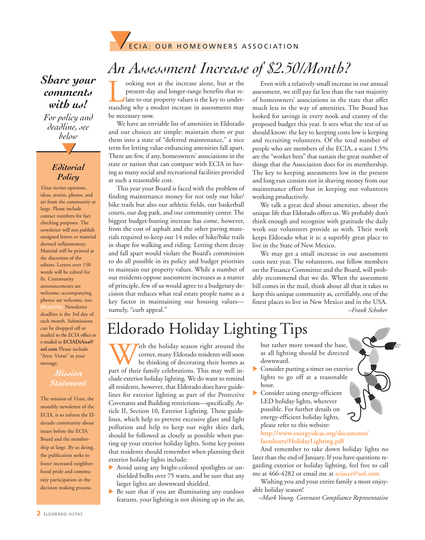

# *An Assessment Increase of \$2.50/Month?*

ooking not at the increase alone, but at the present-day and longer-range benefits that relate to our property values is the key to understanding why a modest increase in assessments may present-day and longer-range benefits that relate to our property values is the key to understanding why a modest increase in assessments may be necessary now.

We have an enviable list of amenities in Eldorado and our choices are simple: maintain them or put them into a state of "deferred maintenance," a nice term for letting value-enhancing amenities fall apart. There are few, if any, homeowners' associations in the state or nation that can compare with ECIA in having as many social and recreational facilities provided at such a reasonable cost.

This year your Board is faced with the problem of finding maintenance money for not only our hike/ bike trails but also our athletic fields, our basketball courts, our dog park, and our community center. The biggest budget-busting increase has come, however, from the cost of asphalt and the other paving materials required to keep our 14 miles of hike/bike trails in shape for walking and riding. Letting them decay and fall apart would violate the Board's commission to do all possible in its policy and budget priorities to maintain our property values. While a number of our residents oppose assessment increases as a matter of principle, few of us would agree to a budgetary decision that reduces what real estate people name as a key factor in maintaining our housing values namely, "curb appeal."

Even with a relatively small increase in our annual assessment, we still pay far less than the vast majority of homeowners' associations in the state that offer much less in the way of amenities. The Board has looked for savings in every nook and cranny of the proposed budget this year. It sees what the rest of us should know: the key to keeping costs low is keeping and recruiting volunteers. Of the total number of people who are members of the ECIA, a scant 1.5% are the "worker bees" that sustain the great number of things that the Association does for its membership. The key to keeping assessments low in the present and long run consists not in shaving money from our maintenance effort but in keeping our volunteers working productively.

We talk a great deal about amenities, about the unique life that Eldorado offers us. We probably don't think enough and recognize with gratitude the daily work our volunteers provide us with. Their work keeps Eldorado what it is: a superbly great place to live in the State of New Mexico.

We may get a small increase in our assessment costs next year. The volunteers, our fellow members on the Finance Committee and the Board, will probably recommend that we do. When the assessment bill comes in the mail, think about all that it takes to keep this unique community as, certifiably, one of the finest places to live in New Mexico and in the USA. *–Frank Schober*

# Eldorado Holiday Lighting Tips

With the holiday season right around the corner, many Eldorado residents will soon<br>be thinking of decorating their homes as<br>part of their family celebrations. This may well incorner, many Eldorado residents will soon be thinking of decorating their homes as clude exterior holiday lighting. We do want to remind all residents, however, that Eldorado does have guidelines for exterior lighting as part of the Protective Covenants and Building restrictions—specifically, Article II, Section 10, Exterior Lighting. These guidelines, which help to prevent excessive glare and light pollution and help to keep our night skies dark, should be followed as closely as possible when putting up your exterior holiday lights. Some key points that residents should remember when planning their exterior holiday lights include:

- Avoid using any bright-colored spotlights or unshielded bulbs over 75 watts, and be sure that any larger lights are downward shielded.
- $\triangleright$  Be sure that if you are illuminating any outdoor features, your lighting is not shining up in the air,

but rather more toward the base, as all lighting should be directed downward.

- $\triangleright$  Consider putting a timer on exterior lights to go off at a reasonable hour.
- Consider using energy-efficient LED holiday lights, wherever possible. For further details on energy-efficient holiday lights, please refer to this website:

**<http://www.energyideas.org/documents/> factsheets/HolidayLighting.pdf**

And remember to take down holiday lights no later than the end of January. If you have questions regarding exterior or holiday lighting, feel free to call me at 466-4282 or email me at **eciaccr@aol.com**.

Wishing you and your entire family a most enjoyable holiday season!

*–Mark Young, Covenant Compliance Representative*

### *Share your comments with us!*

**▼** *For policy and deadline, see below*

#### *Editorial Policy*

*Vistas* invites opinions, ideas, stories, photos, and art from the community at large. Please include contact numbers for fact checking purposes. The newsletter will not publish unsigned letters or material deemed inflammatory. Material will be printed at the discretion of the editors. Letters over 150 words will be edited for fit. Community announcements are welcome; accompanying photos are welcome, too. **DEADLINE:** Newsletter deadline is the 3rd day of each month. Submissions can be dropped off or mailed to the ECIA office or e-mailed to **ECIADiAna@ aol.com** Please include "Attn: Vistas" in your message.

#### *Mission Statement*

The mission of *Vistas*, the monthly newsletter of the ECIA, is to inform the Eldorado community about issues before the ECIA Board and the membership at large. By so doing, the publication seeks to foster increased neighborhood pride and community participation in the decision making process.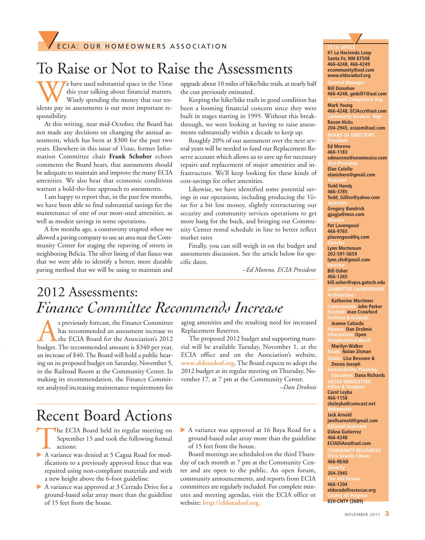# To Raise or Not to Raise the Assessments

We have used substantial space in the *Vistas*<br>this year talking about financial matters.<br>Wisely spending the money that our res-<br>idents pay in assessments is our most important rethis year talking about financial matters. Wisely spending the money that our residents pay in assessments is our most important responsibility.

At this writing, near mid-October, the Board has not made any decisions on changing the annual assessment, which has been at \$300 for the past two years. Elsewhere in this issue of *Vistas*, former Information Committee chair **Frank Schober** echoes comments the Board hears, that assessments should be adequate to maintain and improve the many ECIA amenities. We also hear that economic conditions warrant a hold-the-line approach to assessments.

I am happy to report that, in the past few months, we have been able to find substantial savings for the maintenance of one of our most-used amenities, as well as modest savings in some operations.

A few months ago, a controversy erupted when we allowed a paving company to use an area near the Community Center for staging the repaving of streets in neighboring Belicia. The silver lining of that fiasco was that we were able to identify a better, more durable paving method that we will be using to maintain and

upgrade about 10 miles of hike/bike trails, at nearly half the cost previously estimated.

Keeping the hike/bike trails in good condition has been a looming financial concern since they were built in stages starting in 1995. Without this breakthrough, we were looking at having to raise assessments substantially within a decade to keep up.

Roughly 20% of our assessment over the next several years will be needed to fund our Replacement Reserve account which allows us to save up for necessary repairs and replacement of major amenities and infrastructure. We'll keep looking for these kinds of cost-savings for other amenities.

Likewise, we have identified some potential savings in our operations, including producing the *Vistas* for a bit less money, slightly restructuring our security and community services operations to get more bang for the buck, and bringing our Community Center rental schedule in line to better reflect market rates

Finally, you can still weigh in on the budget and assessments discussion. See the article below for specific dates.

*–Ed Moreno, ECIA President*

### 2012 Assessments: *Finance Committee Recommends Increase*

s previously forecast, the Finance Committee<br>has recommended an assessment increase to<br>the ECIA Board for the Association's 2012<br>budget. The recommended amount is \$340 per vear. has recommended an assessment increase to the ECIA Board for the Association's 2012 budget. The recommended amount is \$340 per year, an increase of \$40. The Board will hold a public hearing on its proposed budget on Saturday, November 5, in the Railroad Room at the Community Center. In making its recommendation, the Finance Committee analyzed increasing maintenance requirements for

aging amenities and the resulting need for increased Replacement Reserves.

The proposed 2012 budget and supporting material will be available Tuesday, November 1, at the [ECIA office and on](http://www.eldoradosf.org) the Association's website, **www.eldoradosf.org**. The Board expects to adopt the 2012 budget at its regular meeting on Thursday, November 17, at 7 pm at the Community Center.

*–Dan Drobnis*

### Recent Board Actions

- The ECIA Board held its regular meeting on September 15 and took the following formal actions:
- A variance was denied at 5 Cagua Road for modifications to a previously approved fence that was repaired using non-compliant materials and with a new height above the 6-foot guideline.
- $\blacktriangleright$  A variance was approved at 3 Cerrado Drive for a ground-based solar array more than the guideline of 15 feet from the house.
- A variance was approved at 16 Baya Road for a ground-based solar array more than the guideline of 15 feet from the house.

Board meetings are scheduled on the third Thursday of each month at 7 pm at the Community Center and are open to the public. An open forum, community announcements, and reports from ECIA committees are regularly included. For complete min[utes and meeting agendas, visit](http://www.eldoradosf.org) the ECIA office or website: **http://eldoradosf.org.**

**▼**

**Bill Donohue 466-4248, gmbill1@aol.com**

**Mark Young 466-4248, ECIAccr@aol.com**

**Raven Hicks 204-2945, eciasm@aol.com BD OF DIRECTORS** 

**Ed Moreno 466-1183 edmoreno@newmexico.com Elan Colello**

**elanishere@gmail.com**

**Todd Handy 466-3785 Todd\_Gilliss@yahoo.com**

**Gregory Bundrick gjugju@msn.com**

**Pat Lavengood 466-9765 plavengood@q.com**

**Lynn Mortensen 202-591-5659 lynn.sfe@gmail.com**

**Bill Osher 466-1265 bill.osher@vpss.gatech.edu COMMITTEE CHAIRPERSONS**

**Katherine Mortimer Conservation: John Parker Election: Jean Crawford**

**Jeanne Calzada Finance: Dan Drobnis**

**Information: Open Marilyn Walker**

**Nolan Zisman Stable: Lisa Bessone &** 

**Deena Joseph**

**Education: Dana Richards VISTAS NEWSLETTER Editor & Designer Carol Leyba 466-1158 cbsleyba@comcast.net**

**Jack Arnold jwellsarnold@gmail.com**

**Editorial Assistant: DiAna Gutierrez 466-4248**

**ECIADiAna@aol.com COMMUNITY RESOURCES**

**466-READ** 

**204-2945 466-1204 eldoradofirerescue.org** 

**820-CNTY (2689)**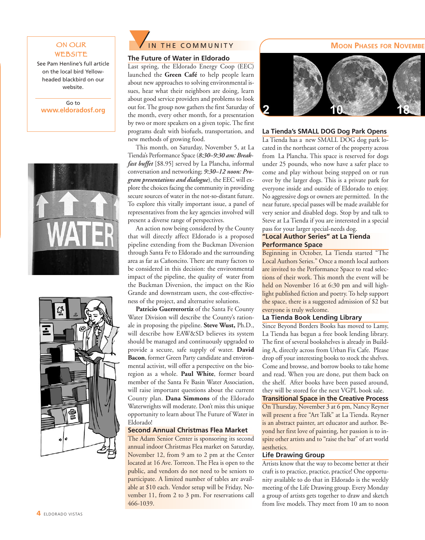#### ON OUR WEBSITE

See Pam Henline's full article on the local bird Yellowheaded blackbird on our website.

Go to **[www.eldoradosf.org](http://www.eldoradosf.org)**







#### **The Future of Water in Eldorado**

Last spring, the Eldorado Energy Coop (EEC) launched the **Green Café** to help people learn about new approaches to solving environmental issues, hear what their neighbors are doing, learn about good service providers and problems to look out for. The group now gathers the first Saturday of the month, every other month, for a presentation by two or more speakers on a given topic. The first programs dealt with biofuels, transportation, and new methods of growing food.

This month, on Saturday, November 5, at La Tienda's Performance Space (*8:30–9:30 am: Breakfast buffet* [\$8.95] served by La Plancha, informal conversation and networking; *9:30–12 noon: Program presentations and dialogue*), the EEC will explore the choices facing the community in providing secure sources of water in the not-so-distant future. To explore this vitally important issue, a panel of representatives from the key agencies involved will present a diverse range of perspectives.

An action now being considered by the County that will directly affect Eldorado is a proposed pipeline extending from the Buckman Diversion through Santa Fe to Eldorado and the surrounding area as far as Cañoncito. There are many factors to be considered in this decision: the environmental impact of the pipeline, the quality of water from the Buckman Diversion, the impact on the Rio Grande and downstream users, the cost-effectiveness of the project, and alternative solutions.

Patricio Guerrerortiz of the Santa Fe County Water Division will describe the County's rationale in proposing the pipeline. **Steve Wust,** Ph.D., will describe how EAW&SD believes its system should be managed and continuously upgraded to provide a secure, safe supply of water. **David Bacon**, former Green Party candidate and environmental activist, will offer a perspective on the bioregion as a whole. **Paul White**, former board member of the Santa Fe Basin Water Association, will raise important questions about the current County plan. **Dana Simmons** of the Eldorado Waterwrights will moderate. Don't miss this unique opportunity to learn about The Future of Water in Eldorado!

#### **Second Annual Christmas Flea Market**

The Adam Senior Center is sponsoring its second annual indoor Christmas Flea market on Saturday, November 12, from 9 am to 2 pm at the Center located at 16 Ave. Torreon. The Flea is open to the public, and vendors do not need to be seniors to participate. A limited number of tables are available at \$10 each. Vendor setup will be Friday, November 11, from 2 to 3 pm. For reservations call 466-1039.



#### **La Tienda's SMALL DOG Dog Park Opens**

La Tienda has a new SMALL DOG dog park located in the northeast corner of the property across from La Plancha. This space is reserved for dogs under 25 pounds, who now have a safer place to come and play without being stepped on or run over by the larger dogs. This is a private park for everyone inside and outside of Eldorado to enjoy. No aggressive dogs or owners are permitted. In the near future, special passes will be made available for very senior and disabled dogs. Stop by and talk to Steve at La Tienda if you are interested in a special pass for your larger special-needs dog.

#### **"Local Author Series" at La Tienda Performance Space**

Beginning in October, La Tienda started "The Local Authors Series." Once a month local authors are invited to the Performance Space to read selections of their work. This month the event will be held on November 16 at 6:30 pm and will highlight published fiction and poetry. To help support the space, there is a suggested admission of \$2 but everyone is truly welcome.

#### **La Tienda Book Lending Library**

Since Beyond Borders Books has moved to Lamy, La Tienda has begun a free book lending library. The first of several bookshelves is already in Building A, directly across from Urban Fix Cafe. Please drop off your interesting books to stock the shelves. Come and browse, and borrow books to take home and read. When you are done, put them back on the shelf. After books have been passed around, they will be stored for the next VGPL book sale.

#### **Transitional Space in the Creative Process**

On Thursday, November 3 at 6 pm, Nancy Reyner will present a free "Art Talk" at La Tienda. Reyner is an abstract painter, art educator and author. Beyond her first love of painting, her passion is to inspire other artists and to "raise the bar" of art world aesthetics.

#### **Life Drawing Group**

Artists know that the way to become better at their craft is to practice, practice, practice! One opportunity available to do that in Eldorado is the weekly meeting of the Life Drawing group. Every Monday a group of artists gets together to draw and sketch from live models. They meet from 10 am to noon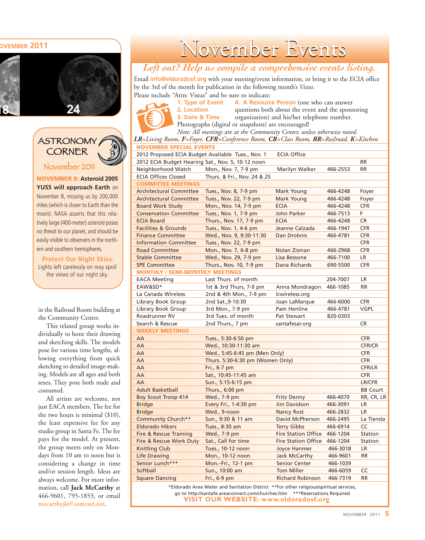#### **NOVEMBER 2011**



ASTRONOMY CORNER November 2011

**NOVEMBER 8: Asteroid 2005 YU55 will approach Earth** on November 8, missing us by 200,000 miles (which is closer to Earth than the moon). NASA asserts that this relatively large (400-meter) asteroid poses no threat to our planet, and should be easily visible to observers in the northern and southern hemispheres.

**Protect Our Night Skies:** Lights left carelessly on may spoil the views of our night sky.

in the Railroad Room building at the Community Center.

This relaxed group works individually to hone their drawing and sketching skills. The models pose for various time lengths, allowing everything from quick sketching to detailed image-making. Models are all ages and both sexes. They pose both nude and costumed.

All artists are welcome, not just EACA members. The fee for the two hours is minimal (\$10), the least expensive fee for any studio group in Santa Fe. The fee pays for the model. At present, the group meets only on Mondays from 10 am to noon but is considering a change in time and/or session length. Ideas are always welcome. For more information, call **Jack McCarthy** at 466-9601, 795-1853, or email **mccarthyjk@comcast.net**.

# November Events

#### *Left out? Help us compile a comprehensive events listing.*

Email **info@eldoradosf.org** with your meeting/event information, or bring it to the ECIA office by the 3rd of the month for publication in the following month's *Vistas.* Please include "Attn: Vistas" and be sure to indicate:

**1. Type of Event 4. A Resource Person** (one who can answer<br>**2. Location** duestions both about the event and the spons questions both about the event and the sponsoring **3. Date & Time** organization) and his/her telephone number. Photographs (digital or snapshots) are encouraged!

**NOVEMBER SPECIAL EVENTS** *Note: All meetings are at the Community Center, unless otherwise noted. LR=Living Room, F=Foyer, CFR=Conference Room, CR=Class Room, RR=Railroad, K=Kitchen*

| 2012 Proposed ECIA Budget Available Tues., Nov. 1 |                                  | <b>ECIA Office</b>         |          |                 |
|---------------------------------------------------|----------------------------------|----------------------------|----------|-----------------|
| 2012 ECIA Budget Hearing Sat., Nov. 5, 10-12 noon |                                  |                            |          | <b>RR</b>       |
| Neighborhood Watch                                | Mon., Nov. 7, 7-9 pm             | Marilyn Walker             | 466-2553 | <b>RR</b>       |
| <b>ECIA Offices Closed</b>                        | Thurs. & Fri., Nov. 24 & 25      |                            |          |                 |
| <b>COMMITTEE MEETINGS</b>                         |                                  |                            |          |                 |
| <b>Architectural Committee</b>                    | Tues., Nov. 8, 7-9 pm            | Mark Young                 | 466-4248 | Foyer           |
| <b>Architectural Committee</b>                    | Tues., Nov. 22, 7-9 pm           | Mark Young                 | 466-4248 | Foyer           |
| <b>Board Work Study</b>                           | Mon., Nov. 14, 7-9 pm            | <b>ECIA</b>                | 466-4248 | <b>CFR</b>      |
| <b>Conservation Committee</b>                     | Tues., Nov. 1, 7-9 pm            | John Parker                | 466-7513 | F.              |
| <b>ECIA Board</b>                                 | Thurs., Nov. 17, 7-9 pm          | <b>ECIA</b>                | 466-4248 | <b>CR</b>       |
| <b>Facilities &amp; Grounds</b>                   | Tues., Nov. 1, 4-6 pm            | Jeanne Calzada             | 466-1947 | <b>CFR</b>      |
| <b>Finance Committee</b>                          | Wed., Nov. 9, 9:30-11:30         | Dan Drobnis                | 466-4781 | <b>CFR</b>      |
| <b>Information Committee</b>                      | Tues., Nov. 22, 7-9 pm           |                            |          | <b>CFR</b>      |
| <b>Road Committee</b>                             | Mon., Nov. 7, 6-8 pm             | Nolan Zisman               | 466-2968 | <b>CFR</b>      |
| <b>Stable Committee</b>                           | Wed., Nov. 29, 7-9 pm            | Lisa Bessone               | 466-7100 | LR              |
| <b>SPE Committee</b>                              | Thurs., Nov. 10, 7-9 pm          | Dana Richards              | 690-5500 | <b>CFR</b>      |
| <b>MONTHLY / SEMI-MONTHLY MEETINGS</b>            |                                  |                            |          |                 |
| <b>EACA Meeting</b>                               | Last Thurs. of month             |                            | 204-7007 | <b>LR</b>       |
| EAW&SD*                                           | 1st & 3rd Thurs, 7-9 pm          | Anna Mondragon             | 466-1085 | <b>RR</b>       |
| La Canada Wireless                                | 2nd & 4th Mon., 7-9 pm           | lcwireless.org             |          |                 |
| Library Book Group                                | 2nd Sat., 9-10:30                | Joan LaMarque              | 466-6000 | <b>CFR</b>      |
| Library Book Group                                | 3rd Mon., 7-9 pm                 | Pam Henline                | 466-4781 | <b>VGPL</b>     |
| Roadrunner RV                                     | 3rd Tues. of month               | Pat Stewart                | 820-0303 |                 |
| Search & Rescue                                   | 2nd Thurs., 7 pm                 | santafesar.org             |          | <b>CR</b>       |
| <b>WEEKLY MEETINGS</b>                            |                                  |                            |          |                 |
| AA                                                | Tues., 5:30-6:50 pm              |                            |          | <b>CFR</b>      |
| AA                                                | Wed., 10:30-11:30 am             |                            |          | <b>CFR/CR</b>   |
| AA                                                | Wed., 5:45-6:45 pm (Men Only)    |                            |          | <b>CFR</b>      |
| AA                                                | Thurs. 5:30-6:30 pm (Women Only) |                            |          | <b>CFR</b>      |
| AA                                                | Fri., 6-7 pm                     |                            |          | CFR/LR          |
| AA                                                | Sat., 10:45-11:45 am             |                            |          | <b>CFR</b>      |
| AA                                                | Sun., 5:15-6:15 pm               |                            |          | LR/CFR          |
| <b>Adult Basketball</b>                           | Thurs., 6:00 pm                  |                            |          | <b>BB Court</b> |
| <b>Boy Scout Troop 414</b>                        | Wed., 7-9 pm                     | <b>Fritz Denny</b>         | 466-4070 | RR, CR, LR      |
| <b>Bridge</b>                                     | Every Fri., 1-4:30 pm            | Jim Davidson               | 466-3091 | LR              |
| <b>Bridge</b>                                     | Wed., 9-noon                     | <b>Nancy Rost</b>          | 466-2832 | <b>LR</b>       |
| Community Church**                                | Sun., 9:30 & 11 am               | David McPherson            | 466-2495 | La Tienda       |
| <b>Eldorado Hikers</b>                            | Tues., 8:30 am                   | <b>Terry Gibbs</b>         | 466-6914 | CC              |
| Fire & Rescue Training                            | Wed., 7-9 pm                     | <b>Fire Station Office</b> | 466-1204 | Station         |
| Fire & Rescue Work Duty                           | Sat., Call for time              | <b>Fire Station Office</b> | 466-1204 | Station         |
| <b>Knitting Club</b>                              | Tues., 10-12 noon                | Joyce Hanmer               | 466-3018 | <b>LR</b>       |
| Life Drawing                                      | Mon., 10-12 noon                 | Jack McCarthy              | 466-9601 | <b>RR</b>       |
| Senior Lunch***                                   | Mon.-Fri., 12-1 pm               | <b>Senior Center</b>       | 466-1039 |                 |
| Softball                                          | Sun., 10:00 am                   | <b>Tom Miller</b>          | 466-6059 | CC              |
| <b>Square Dancing</b>                             | Fri., 6-9 pm                     | <b>Richard Robinson</b>    | 466-7319 | <b>RR</b>       |
|                                                   |                                  |                            |          |                 |

\*Eldorado Area Water and Sanitation District \*\*For other religious/spiritual services, go to http://santafe.areaconnect.com/churches.htm \*\*\*Reservations Required **VISIT OUR WEBSITE: [www.eldoradosf.org](http://www.eldoradosf.org)**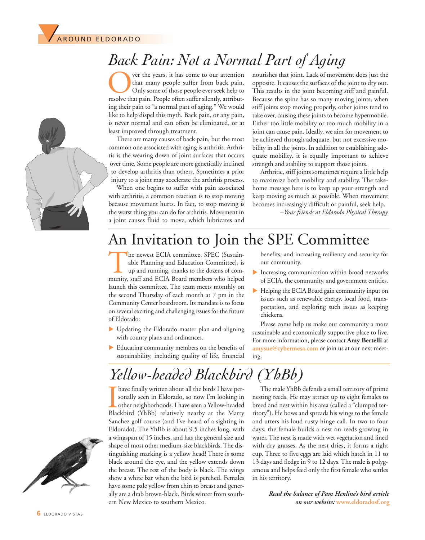

# *Back Pain: Not a Normal Part of Aging*

ver the years, it has come to our attention that many people suffer from back pain. Only some of those people ever seek help to resolve that pain. People often suffer silently, attributing their pain to "a normal part of aging." We would like to help dispel this myth. Back pain, or any pain, is never normal and can often be eliminated, or at least improved through treatment.

There are many causes of back pain, but the most common one associated with aging is arthritis. Arthritis is the wearing down of joint surfaces that occurs over time. Some people are more genetically inclined to develop arthritis than others. Sometimes a prior injury to a joint may accelerate the arthritis process.

When one begins to suffer with pain associated with arthritis, a common reaction is to stop moving because movement hurts. In fact, to stop moving is the worst thing you can do for arthritis. Movement in a joint causes fluid to move, which lubricates and

nourishes that joint. Lack of movement does just the opposite. It causes the surfaces of the joint to dry out. This results in the joint becoming stiff and painful. Because the spine has so many moving joints, when stiff joints stop moving properly, other joints tend to take over, causing these joints to become hypermobile. Either too little mobility or too much mobility in a joint can cause pain. Ideally, we aim for movement to be achieved through adequate, but not excessive mobility in all the joints. In addition to establishing adequate mobility, it is equally important to achieve strength and stability to support those joints.

Arthritic, stiff joints sometimes require a little help to maximize both mobility and stability. The takehome message here is to keep up your strength and keep moving as much as possible. When movement becomes increasingly difficult or painful, seek help.

*–Your friends at Eldorado Physical Therapy*

### An Invitation to Join the SPE Committee

The newest ECIA committee, SPEC (Sustainable Planning and Education Committee), is up and running, thanks to the dozens of community, staff and ECIA Board members who helped launch this committee. The team meets monthly on the second Thursday of each month at 7 pm in the Community Center boardroom. Its mandate is to focus on several exciting and challenging issues for the future of Eldorado:

- $\blacktriangleright$  Updating the Eldorado master plan and aligning with county plans and ordinances.
- Educating community members on the benefits of sustainability, including quality of life, financial

benefits, and increasing resiliency and security for our community.

- $\blacktriangleright$  Increasing communication within broad networks of ECIA, the community, and government entities.
- Helping the ECIA Board gain community input on issues such as renewable energy, local food, transportation, and exploring such issues as keeping chickens.

Please come help us make our community a more sustainable and economically supportive place to live. For more information, please contact **Amy Bertelli** at **amysue@cybermesa.com** or join us at our next meeting.

# *Yellow-headed Blackbird (YhBb)*

I have finally written about all the birds I have personally seen in Eldorado, so now I'm looking in other neighborhoods. I have seen a Yellow-headed Blackbird (YhBb) relatively nearby at the Marty have finally written about all the birds I have personally seen in Eldorado, so now I'm looking in other neighborhoods. I have seen a Yellow-headed Sanchez golf course (and I've heard of a sighting in Eldorado). The YhBb is about 9.5 inches long, with a wingspan of 15 inches, and has the general size and shape of most other medium-size blackbirds. The distinguishing marking is a yellow head! There is some black around the eye, and the yellow extends down the breast. The rest of the body is black. The wings show a white bar when the bird is perched. Females have some pale yellow from chin to breast and generally are a drab brown-black. Birds winter from southern New Mexico to southern Mexico.

The male YhBb defends a small territory of prime nesting reeds. He may attract up to eight females to breed and nest within his area (called a "clumped territory"). He bows and spreads his wings to the female and utters his loud rusty hinge call. In two to four days, the female builds a nest on reeds growing in water. The nest is made with wet vegetation and lined with dry grasses. As the nest dries, it forms a tight cup. Three to five eggs are laid which hatch in 11 to 13 days and fledge in 9 to 12 days. The male is polygamous and helps feed only the first female who settles in his territory.

> *Read the balance of Pam Henline's bird article on our website:* **[www.eldoradosf.org](http://www.eldoradosf.org)**



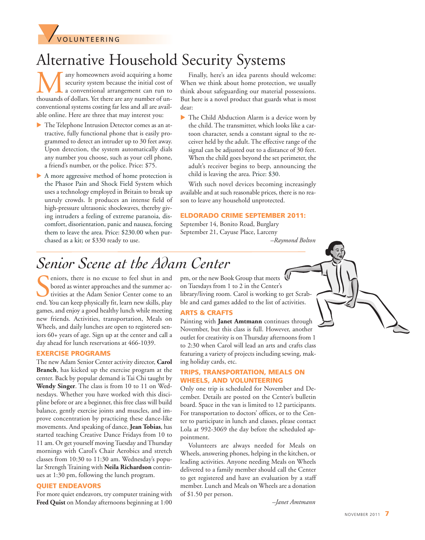

# Alternative Household Security Systems

**M** any homeowners avoid acquiring a home security system because the initial cost of a conventional arrangement can run to thousands of dollars. Yet there are any number of unsecurity system because the initial cost of a conventional arrangement can run to conventional systems costing far less and all are available online. Here are three that may interest you:

- The Telephone Intrusion Detector comes as an attractive, fully functional phone that is easily programmed to detect an intruder up to 30 feet away. Upon detection, the system automatically dials any number you choose, such as your cell phone, a friend's number, or the police. Price: \$75.
- $\blacktriangleright$  A more aggressive method of home protection is the Phasor Pain and Shock Field System which uses a technology employed in Britain to break up unruly crowds. It produces an intense field of high-pressure ultrasonic shockwaves, thereby giving intruders a feeling of extreme paranoia, discomfort, disorientation, panic and nausea, forcing them to leave the area. Price: \$230.00 when purchased as a kit; or \$330 ready to use.

Finally, here's an idea parents should welcome: When we think about home protection, we usually think about safeguarding our material possessions. But here is a novel product that guards what is most dear:

u The Child Abduction Alarm is a device worn by the child. The transmitter, which looks like a cartoon character, sends a constant signal to the receiver held by the adult. The effective range of the signal can be adjusted out to a distance of 30 feet. When the child goes beyond the set perimeter, the adult's receiver begins to beep, announcing the child is leaving the area. Price: \$30.

With such novel devices becoming increasingly available and at such reasonable prices, there is no reason to leave any household unprotected.

#### **ELDORADO CRIME SEPTEMBER 2011:**

September 14, Bonito Road, Burglary September 21, Cayuse Place, Larceny

*–Raymond Bolton*

# *Senior Scene at the Adam Center*

eniors, there is no excuse to feel shut in and bored as winter approaches and the summer activities at the Adam Senior Center come to an end. You can keep physically fit, learn new skills, play eniors, there is no excuse to feel shut in and bored as winter approaches and the summer activities at the Adam Senior Center come to an games, and enjoy a good healthy lunch while meeting new friends. Activities, transportation, Meals on Wheels, and daily lunches are open to registered seniors 60+ years of age. Sign up at the center and call a day ahead for lunch reservations at 466-1039.

#### **EXERCISE PROGRAMS**

The new Adam Senior Center activity director, **Carol Branch**, has kicked up the exercise program at the center. Back by popular demand is Tai Chi taught by **Wendy Singer**. The class is from 10 to 11 on Wednesdays. Whether you have worked with this discipline before or are a beginner, this free class will build balance, gently exercise joints and muscles, and improve concentration by practicing these dance-like movements. And speaking of dance, **Jean Tobias**, has started teaching Creative Dance Fridays from 10 to 11 am. Or get yourself moving Tuesday and Thursday mornings with Carol's Chair Aerobics and stretch classes from 10:30 to 11:30 am. Wednesday's popular Strength Training with **Neila Richardson** continues at 1:30 pm, following the lunch program.

#### **QUIET ENDEAVORS**

For more quiet endeavors, try computer training with **Fred Quist** on Monday afternoons beginning at 1:00 pm, or the new Book Group that meets on Tuesdays from 1 to 2 in the Center's library/living room. Carol is working to get Scrabble and card games added to the list of activities.

#### **ARTS & CRAFTS**

Painting with **Janet Amtmann** continues through November, but this class is full. However, another outlet for creativity is on Thursday afternoons from 1 to 2:30 when Carol will lead an arts and crafts class featuring a variety of projects including sewing, making holiday cards, etc.

#### **TRIPS, TRANSPORTATION, MEALS ON WHEELS, AND VOLUNTEERING**

Only one trip is scheduled for November and December. Details are posted on the Center's bulletin board. Space in the van is limited to 12 participants. For transportation to doctors' offices, or to the Center to participate in lunch and classes, please contact Lola at 992-3069 the day before the scheduled appointment.

Volunteers are always needed for Meals on Wheels, answering phones, helping in the kitchen, or leading activities. Anyone needing Meals on Wheels delivered to a family member should call the Center to get registered and have an evaluation by a staff member. Lunch and Meals on Wheels are a donation of \$1.50 per person.

*–Janet Amtmann*